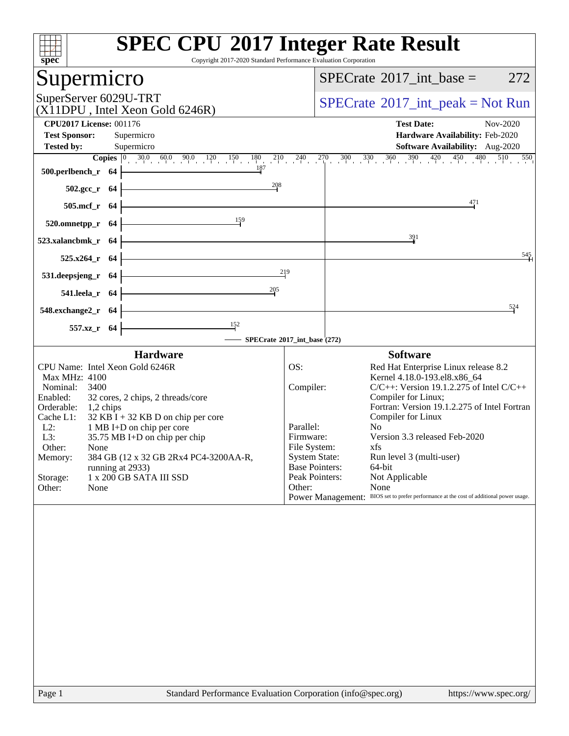| $\overline{\text{spec}^*}$                                                                                                                       | <b>SPEC CPU®2017 Integer Rate Result</b><br>Copyright 2017-2020 Standard Performance Evaluation Corporation                                                                                                                                                                                        |
|--------------------------------------------------------------------------------------------------------------------------------------------------|----------------------------------------------------------------------------------------------------------------------------------------------------------------------------------------------------------------------------------------------------------------------------------------------------|
| Supermicro                                                                                                                                       | 272<br>$SPECrate^{\circledast}2017\_int\_base =$                                                                                                                                                                                                                                                   |
| SuperServer 6029U-TRT<br>(X11DPU, Intel Xeon Gold 6246R)                                                                                         | $SPECrate^{\circledast}2017\_int\_peak = Not Run$                                                                                                                                                                                                                                                  |
| <b>CPU2017 License: 001176</b>                                                                                                                   | <b>Test Date:</b><br>Nov-2020                                                                                                                                                                                                                                                                      |
| <b>Test Sponsor:</b><br>Supermicro                                                                                                               | Hardware Availability: Feb-2020                                                                                                                                                                                                                                                                    |
| Supermicro<br><b>Tested by:</b>                                                                                                                  | <b>Software Availability:</b> Aug-2020                                                                                                                                                                                                                                                             |
| $\frac{187}{1}$<br>$500.$ perlbench_r 64                                                                                                         | <b>Copies</b> $\begin{bmatrix} 0 & 30.0 & 60.0 & 90.0 & 120 & 150 & 180 & 210 & 240 & 270 & 300 & 330 & 360 & 390 & 420 & 450 & 480 & 510 & 550 \end{bmatrix}$                                                                                                                                     |
| $\frac{208}{1}$<br>$502.\text{gcc}_r$ 64                                                                                                         |                                                                                                                                                                                                                                                                                                    |
| <u> 1989 - Johann Barn, mars ann an t-Amhair an t-Amhair an t-Amhair an t-Amhair an t-Amhair an t-Amhair an t-Amh</u><br>505.mcf_r 64            | 471                                                                                                                                                                                                                                                                                                |
| $\frac{159}{1}$<br>$520.0$ mnetpp_r 64                                                                                                           |                                                                                                                                                                                                                                                                                                    |
| $523.xalanchmk_r$ 64                                                                                                                             | $\frac{391}{2}$                                                                                                                                                                                                                                                                                    |
| <u> 1989 - Johann Barn, mars ann an t-Amhair Aonaich an t-Aonaich an t-Aonaich ann an t-Aonaich ann an t-Aonaich</u><br>$525.x264$ r 64          | 545                                                                                                                                                                                                                                                                                                |
| <u> 1989 - Johann Stoff, fransk politik (d. 1989)</u><br>531. deepsjeng_r 64 $\vdash$                                                            | 219                                                                                                                                                                                                                                                                                                |
| 205<br>541.leela_r $64$ -                                                                                                                        |                                                                                                                                                                                                                                                                                                    |
| <u> 1989 - Johann Barn, mars ann an t-Amhain Aonaich an t-Aonaich an t-Aonaich an t-Aonaich an t-Aonaich an t-Aon</u><br>$548$ .exchange2_r $64$ | 524                                                                                                                                                                                                                                                                                                |
| $\overline{152}$<br>557.xz_r 64                                                                                                                  |                                                                                                                                                                                                                                                                                                    |
| SPECrate®2017_int_base (272)                                                                                                                     |                                                                                                                                                                                                                                                                                                    |
| <b>Hardware</b><br>CPU Name: Intel Xeon Gold 6246R                                                                                               | <b>Software</b><br>OS:<br>Red Hat Enterprise Linux release 8.2                                                                                                                                                                                                                                     |
| Max MHz: 4100                                                                                                                                    | Kernel 4.18.0-193.el8.x86_64                                                                                                                                                                                                                                                                       |
| Nominal: 3400                                                                                                                                    | Compiler:<br>$C/C++$ : Version 19.1.2.275 of Intel $C/C++$                                                                                                                                                                                                                                         |
| 32 cores, 2 chips, 2 threads/core<br>Enabled:                                                                                                    | Compiler for Linux;<br>Fortran: Version 19.1.2.275 of Intel Fortran                                                                                                                                                                                                                                |
| Orderable: 1,2 chips<br>Cache L1:<br>$32$ KB I + 32 KB D on chip per core                                                                        | Compiler for Linux                                                                                                                                                                                                                                                                                 |
| $L2$ :<br>1 MB I+D on chip per core                                                                                                              | No<br>Parallel:                                                                                                                                                                                                                                                                                    |
| L3:<br>35.75 MB I+D on chip per chip                                                                                                             | Version 3.3 released Feb-2020<br>Firmware:                                                                                                                                                                                                                                                         |
| Other:<br>None                                                                                                                                   | File System:<br>xfs and the set of the set of the set of the set of the set of the set of the set of the set of the set of the set of the set of the set of the set of the set of the set of the set of the set of the set of the set of the s<br><b>System State:</b><br>Run level 3 (multi-user) |
| 384 GB (12 x 32 GB 2Rx4 PC4-3200AA-R,<br>Memory:<br>running at 2933)                                                                             | <b>Base Pointers:</b><br>64-bit                                                                                                                                                                                                                                                                    |
| Storage:<br>1 x 200 GB SATA III SSD                                                                                                              | Peak Pointers:<br>Not Applicable                                                                                                                                                                                                                                                                   |
| Other:<br>None                                                                                                                                   | Other:<br>None                                                                                                                                                                                                                                                                                     |
|                                                                                                                                                  | Power Management: BIOS set to prefer performance at the cost of additional power usage.                                                                                                                                                                                                            |
|                                                                                                                                                  |                                                                                                                                                                                                                                                                                                    |
| $D_{0.02}$ 1                                                                                                                                     | Standard Darfarmange Evaluation Compration (info@gnac                                                                                                                                                                                                                                              |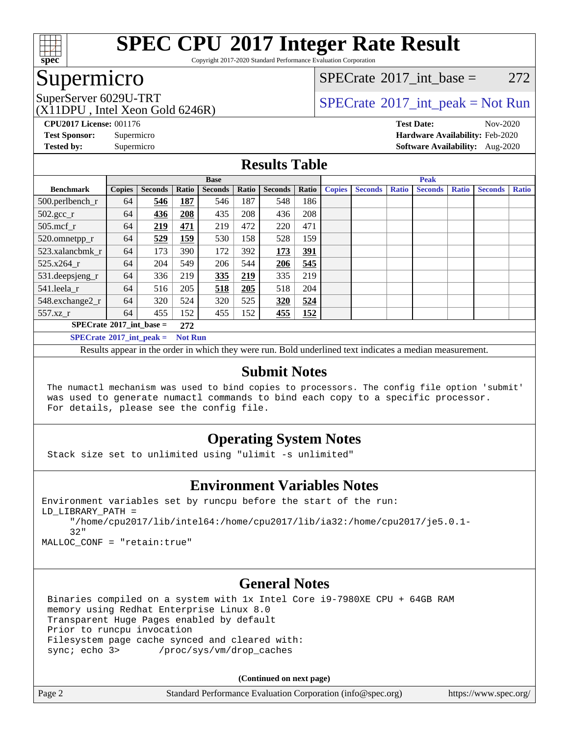

Copyright 2017-2020 Standard Performance Evaluation Corporation

# Supermicro

[SPECrate](http://www.spec.org/auto/cpu2017/Docs/result-fields.html#SPECrate2017intbase)<sup>®</sup>2017 int base =  $272$ 

(X11DPU , Intel Xeon Gold 6246R)

SuperServer 6029U-TRT  $SPECrate^{\circ}2017$  $SPECrate^{\circ}2017$ \_int\_peak = Not Run

**[CPU2017 License:](http://www.spec.org/auto/cpu2017/Docs/result-fields.html#CPU2017License)** 001176 **[Test Date:](http://www.spec.org/auto/cpu2017/Docs/result-fields.html#TestDate)** Nov-2020 **[Test Sponsor:](http://www.spec.org/auto/cpu2017/Docs/result-fields.html#TestSponsor)** Supermicro **[Hardware Availability:](http://www.spec.org/auto/cpu2017/Docs/result-fields.html#HardwareAvailability)** Feb-2020 **[Tested by:](http://www.spec.org/auto/cpu2017/Docs/result-fields.html#Testedby)** Supermicro **[Software Availability:](http://www.spec.org/auto/cpu2017/Docs/result-fields.html#SoftwareAvailability)** Aug-2020

### **[Results Table](http://www.spec.org/auto/cpu2017/Docs/result-fields.html#ResultsTable)**

|                                                     | <b>Base</b>   |                |       |                |       |                | <b>Peak</b> |               |                |              |                |              |                |              |
|-----------------------------------------------------|---------------|----------------|-------|----------------|-------|----------------|-------------|---------------|----------------|--------------|----------------|--------------|----------------|--------------|
| <b>Benchmark</b>                                    | <b>Copies</b> | <b>Seconds</b> | Ratio | <b>Seconds</b> | Ratio | <b>Seconds</b> | Ratio       | <b>Copies</b> | <b>Seconds</b> | <b>Ratio</b> | <b>Seconds</b> | <b>Ratio</b> | <b>Seconds</b> | <b>Ratio</b> |
| 500.perlbench_r                                     | 64            | 546            | 187   | 546            | 187   | 548            | 186         |               |                |              |                |              |                |              |
| $502.\text{gcc\_r}$                                 | 64            | 436            | 208   | 435            | 208   | 436            | 208         |               |                |              |                |              |                |              |
| $505$ .mcf r                                        | 64            | 219            | 471   | 219            | 472   | 220            | 471         |               |                |              |                |              |                |              |
| 520.omnetpp_r                                       | 64            | 529            | 159   | 530            | 158   | 528            | 159         |               |                |              |                |              |                |              |
| 523.xalancbmk r                                     | 64            | 173            | 390   | 172            | 392   | 173            | <u>391</u>  |               |                |              |                |              |                |              |
| 525.x264 r                                          | 64            | 204            | 549   | 206            | 544   | 206            | 545         |               |                |              |                |              |                |              |
| 531.deepsjeng_r                                     | 64            | 336            | 219   | 335            | 219   | 335            | 219         |               |                |              |                |              |                |              |
| 541.leela r                                         | 64            | 516            | 205   | 518            | 205   | 518            | 204         |               |                |              |                |              |                |              |
| 548.exchange2_r                                     | 64            | 320            | 524   | 320            | 525   | 320            | 524         |               |                |              |                |              |                |              |
| $557.xz$ _r                                         | 64            | 455            | 152   | 455            | 152   | 455            | 152         |               |                |              |                |              |                |              |
| $SPECrate^{\circ}2017\_int\_base =$                 |               |                |       |                |       |                |             |               |                |              |                |              |                |              |
| $SPECrate^{\circ}2017$ int peak =<br><b>Not Run</b> |               |                |       |                |       |                |             |               |                |              |                |              |                |              |

Results appear in the [order in which they were run](http://www.spec.org/auto/cpu2017/Docs/result-fields.html#RunOrder). Bold underlined text [indicates a median measurement](http://www.spec.org/auto/cpu2017/Docs/result-fields.html#Median).

### **[Submit Notes](http://www.spec.org/auto/cpu2017/Docs/result-fields.html#SubmitNotes)**

 The numactl mechanism was used to bind copies to processors. The config file option 'submit' was used to generate numactl commands to bind each copy to a specific processor. For details, please see the config file.

### **[Operating System Notes](http://www.spec.org/auto/cpu2017/Docs/result-fields.html#OperatingSystemNotes)**

Stack size set to unlimited using "ulimit -s unlimited"

### **[Environment Variables Notes](http://www.spec.org/auto/cpu2017/Docs/result-fields.html#EnvironmentVariablesNotes)**

```
Environment variables set by runcpu before the start of the run:
LD_LIBRARY_PATH =
      "/home/cpu2017/lib/intel64:/home/cpu2017/lib/ia32:/home/cpu2017/je5.0.1-
      32"
```
MALLOC\_CONF = "retain:true"

### **[General Notes](http://www.spec.org/auto/cpu2017/Docs/result-fields.html#GeneralNotes)**

 Binaries compiled on a system with 1x Intel Core i9-7980XE CPU + 64GB RAM memory using Redhat Enterprise Linux 8.0 Transparent Huge Pages enabled by default Prior to runcpu invocation Filesystem page cache synced and cleared with: sync; echo 3> /proc/sys/vm/drop\_caches

**(Continued on next page)**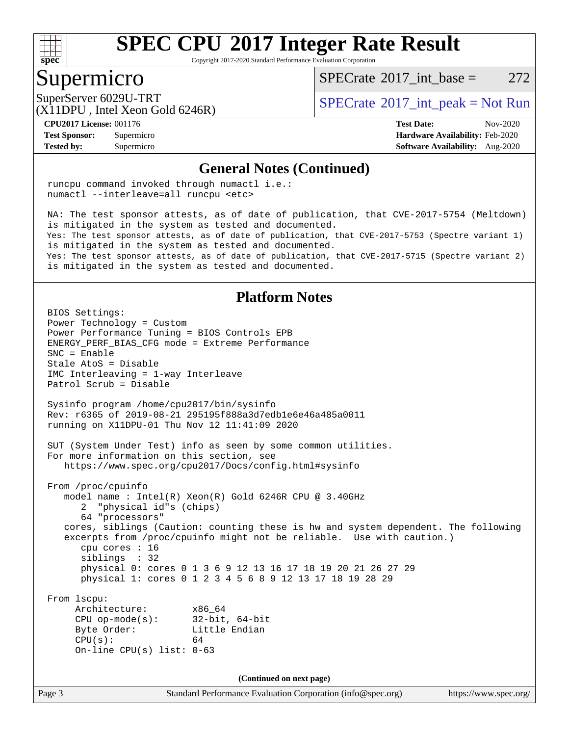

Copyright 2017-2020 Standard Performance Evaluation Corporation

### Supermicro

 $SPECTate^{\circ}2017$  int base = 272

(X11DPU , Intel Xeon Gold 6246R)

SuperServer 6029U-TRT  $SPECrate^{\circ}2017$  $SPECrate^{\circ}2017$ \_int\_peak = Not Run

**[Tested by:](http://www.spec.org/auto/cpu2017/Docs/result-fields.html#Testedby)** Supermicro **[Software Availability:](http://www.spec.org/auto/cpu2017/Docs/result-fields.html#SoftwareAvailability)** Aug-2020

**[CPU2017 License:](http://www.spec.org/auto/cpu2017/Docs/result-fields.html#CPU2017License)** 001176 **[Test Date:](http://www.spec.org/auto/cpu2017/Docs/result-fields.html#TestDate)** Nov-2020 **[Test Sponsor:](http://www.spec.org/auto/cpu2017/Docs/result-fields.html#TestSponsor)** Supermicro **[Hardware Availability:](http://www.spec.org/auto/cpu2017/Docs/result-fields.html#HardwareAvailability)** Feb-2020

#### **[General Notes \(Continued\)](http://www.spec.org/auto/cpu2017/Docs/result-fields.html#GeneralNotes)**

 runcpu command invoked through numactl i.e.: numactl --interleave=all runcpu <etc>

 NA: The test sponsor attests, as of date of publication, that CVE-2017-5754 (Meltdown) is mitigated in the system as tested and documented. Yes: The test sponsor attests, as of date of publication, that CVE-2017-5753 (Spectre variant 1) is mitigated in the system as tested and documented. Yes: The test sponsor attests, as of date of publication, that CVE-2017-5715 (Spectre variant 2) is mitigated in the system as tested and documented.

#### **[Platform Notes](http://www.spec.org/auto/cpu2017/Docs/result-fields.html#PlatformNotes)**

Page 3 Standard Performance Evaluation Corporation [\(info@spec.org\)](mailto:info@spec.org) <https://www.spec.org/> BIOS Settings: Power Technology = Custom Power Performance Tuning = BIOS Controls EPB ENERGY\_PERF\_BIAS\_CFG mode = Extreme Performance SNC = Enable Stale AtoS = Disable IMC Interleaving = 1-way Interleave Patrol Scrub = Disable Sysinfo program /home/cpu2017/bin/sysinfo Rev: r6365 of 2019-08-21 295195f888a3d7edb1e6e46a485a0011 running on X11DPU-01 Thu Nov 12 11:41:09 2020 SUT (System Under Test) info as seen by some common utilities. For more information on this section, see <https://www.spec.org/cpu2017/Docs/config.html#sysinfo> From /proc/cpuinfo model name : Intel(R) Xeon(R) Gold 6246R CPU @ 3.40GHz 2 "physical id"s (chips) 64 "processors" cores, siblings (Caution: counting these is hw and system dependent. The following excerpts from /proc/cpuinfo might not be reliable. Use with caution.) cpu cores : 16 siblings : 32 physical 0: cores 0 1 3 6 9 12 13 16 17 18 19 20 21 26 27 29 physical 1: cores 0 1 2 3 4 5 6 8 9 12 13 17 18 19 28 29 From lscpu: Architecture: x86\_64 CPU op-mode(s): 32-bit, 64-bit Byte Order: Little Endian  $CPU(s):$  64 On-line CPU(s) list: 0-63 **(Continued on next page)**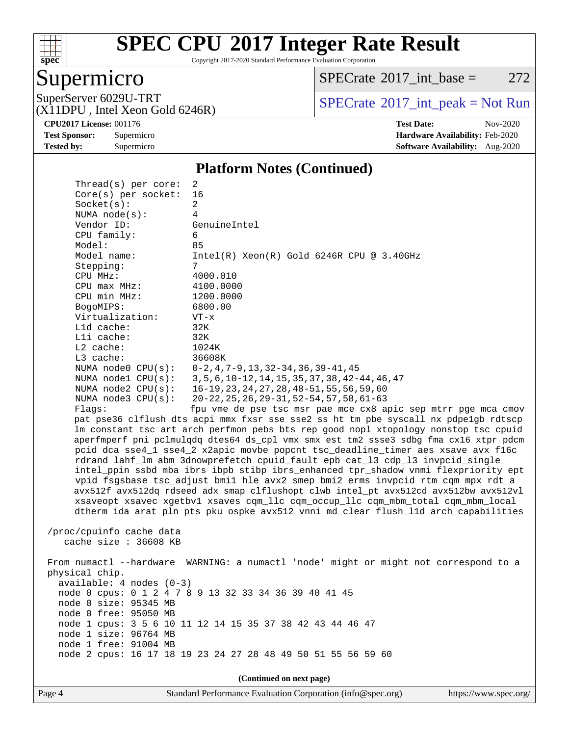

Copyright 2017-2020 Standard Performance Evaluation Corporation

# Supermicro

 $SPECTate@2017_int\_base = 272$ 

(X11DPU , Intel Xeon Gold 6246R)

SuperServer 6029U-TRT <br>(X11DPU Intel Xeon Gold 6246R) [SPECrate](http://www.spec.org/auto/cpu2017/Docs/result-fields.html#SPECrate2017intpeak)®[2017\\_int\\_peak = N](http://www.spec.org/auto/cpu2017/Docs/result-fields.html#SPECrate2017intpeak)ot Run

**[CPU2017 License:](http://www.spec.org/auto/cpu2017/Docs/result-fields.html#CPU2017License)** 001176 **[Test Date:](http://www.spec.org/auto/cpu2017/Docs/result-fields.html#TestDate)** Nov-2020 **[Test Sponsor:](http://www.spec.org/auto/cpu2017/Docs/result-fields.html#TestSponsor)** Supermicro **[Hardware Availability:](http://www.spec.org/auto/cpu2017/Docs/result-fields.html#HardwareAvailability)** Feb-2020 **[Tested by:](http://www.spec.org/auto/cpu2017/Docs/result-fields.html#Testedby)** Supermicro **Supermicro [Software Availability:](http://www.spec.org/auto/cpu2017/Docs/result-fields.html#SoftwareAvailability)** Aug-2020

#### **[Platform Notes \(Continued\)](http://www.spec.org/auto/cpu2017/Docs/result-fields.html#PlatformNotes)**

| Thread( $s$ ) per core:                                                              | 2                                                                                    |  |  |  |  |  |
|--------------------------------------------------------------------------------------|--------------------------------------------------------------------------------------|--|--|--|--|--|
| Core(s) per socket:                                                                  | 16                                                                                   |  |  |  |  |  |
| Socket(s):                                                                           | 2                                                                                    |  |  |  |  |  |
| NUMA $node(s):$                                                                      | 4                                                                                    |  |  |  |  |  |
| Vendor ID:                                                                           | GenuineIntel                                                                         |  |  |  |  |  |
| CPU family:                                                                          | 6                                                                                    |  |  |  |  |  |
| Model:                                                                               | 85                                                                                   |  |  |  |  |  |
| Model name:                                                                          | $Intel(R) Xeon(R) Gold 6246R CPU @ 3.40GHz$                                          |  |  |  |  |  |
| Stepping:                                                                            | 7                                                                                    |  |  |  |  |  |
| CPU MHz:                                                                             | 4000.010                                                                             |  |  |  |  |  |
| $CPU$ max $MHz$ :                                                                    | 4100.0000                                                                            |  |  |  |  |  |
| CPU min MHz:<br>BogoMIPS:                                                            | 1200.0000<br>6800.00                                                                 |  |  |  |  |  |
| Virtualization:                                                                      | $VT - x$                                                                             |  |  |  |  |  |
| $L1d$ cache:                                                                         | 32K                                                                                  |  |  |  |  |  |
| Lli cache:                                                                           | 32K                                                                                  |  |  |  |  |  |
| $L2$ cache:                                                                          | 1024K                                                                                |  |  |  |  |  |
| L3 cache:                                                                            | 36608K                                                                               |  |  |  |  |  |
| NUMA node0 CPU(s):                                                                   | $0-2$ , 4, 7-9, 13, 32-34, 36, 39-41, 45                                             |  |  |  |  |  |
| NUMA nodel CPU(s):                                                                   | 3, 5, 6, 10-12, 14, 15, 35, 37, 38, 42-44, 46, 47                                    |  |  |  |  |  |
| NUMA $node2$ $CPU(s):$                                                               | 16-19, 23, 24, 27, 28, 48-51, 55, 56, 59, 60                                         |  |  |  |  |  |
| NUMA $node3$ CPU $(s)$ :                                                             | $20 - 22, 25, 26, 29 - 31, 52 - 54, 57, 58, 61 - 63$                                 |  |  |  |  |  |
| Flaqs:                                                                               | fpu vme de pse tsc msr pae mce cx8 apic sep mtrr pge mca cmov                        |  |  |  |  |  |
|                                                                                      | pat pse36 clflush dts acpi mmx fxsr sse sse2 ss ht tm pbe syscall nx pdpe1gb rdtscp  |  |  |  |  |  |
|                                                                                      | lm constant_tsc art arch_perfmon pebs bts rep_good nopl xtopology nonstop_tsc cpuid  |  |  |  |  |  |
|                                                                                      | aperfmperf pni pclmulqdq dtes64 ds_cpl vmx smx est tm2 ssse3 sdbg fma cx16 xtpr pdcm |  |  |  |  |  |
| pcid dca sse4_1 sse4_2 x2apic movbe popcnt tsc_deadline_timer aes xsave avx f16c     |                                                                                      |  |  |  |  |  |
| rdrand lahf_lm abm 3dnowprefetch cpuid_fault epb cat_13 cdp_13 invpcid_single        |                                                                                      |  |  |  |  |  |
| intel_ppin ssbd mba ibrs ibpb stibp ibrs_enhanced tpr_shadow vnmi flexpriority ept   |                                                                                      |  |  |  |  |  |
| vpid fsgsbase tsc_adjust bmil hle avx2 smep bmi2 erms invpcid rtm cqm mpx rdt_a      |                                                                                      |  |  |  |  |  |
| avx512f avx512dq rdseed adx smap clflushopt clwb intel_pt avx512cd avx512bw avx512vl |                                                                                      |  |  |  |  |  |
|                                                                                      | xsaveopt xsavec xgetbvl xsaves cqm_llc cqm_occup_llc cqm_mbm_total cqm_mbm_local     |  |  |  |  |  |
|                                                                                      | dtherm ida arat pln pts pku ospke avx512_vnni md_clear flush_lld arch_capabilities   |  |  |  |  |  |
|                                                                                      |                                                                                      |  |  |  |  |  |
| /proc/cpuinfo cache data<br>cache size $: 36608$ KB                                  |                                                                                      |  |  |  |  |  |
|                                                                                      |                                                                                      |  |  |  |  |  |
|                                                                                      | From numactl --hardware WARNING: a numactl 'node' might or might not correspond to a |  |  |  |  |  |
| physical chip.                                                                       |                                                                                      |  |  |  |  |  |
| $available: 4 nodes (0-3)$                                                           |                                                                                      |  |  |  |  |  |
| node 0 cpus: 0 1 2 4 7 8 9 13 32 33 34 36 39 40 41 45                                |                                                                                      |  |  |  |  |  |
| node 0 size: 95345 MB                                                                |                                                                                      |  |  |  |  |  |
| node 0 free: 95050 MB                                                                |                                                                                      |  |  |  |  |  |
|                                                                                      | node 1 cpus: 3 5 6 10 11 12 14 15 35 37 38 42 43 44 46 47                            |  |  |  |  |  |
| node 1 size: 96764 MB                                                                |                                                                                      |  |  |  |  |  |
| node 1 free: 91004 MB                                                                |                                                                                      |  |  |  |  |  |
|                                                                                      | node 2 cpus: 16 17 18 19 23 24 27 28 48 49 50 51 55 56 59 60                         |  |  |  |  |  |
|                                                                                      |                                                                                      |  |  |  |  |  |
| (Continued on next page)                                                             |                                                                                      |  |  |  |  |  |
|                                                                                      |                                                                                      |  |  |  |  |  |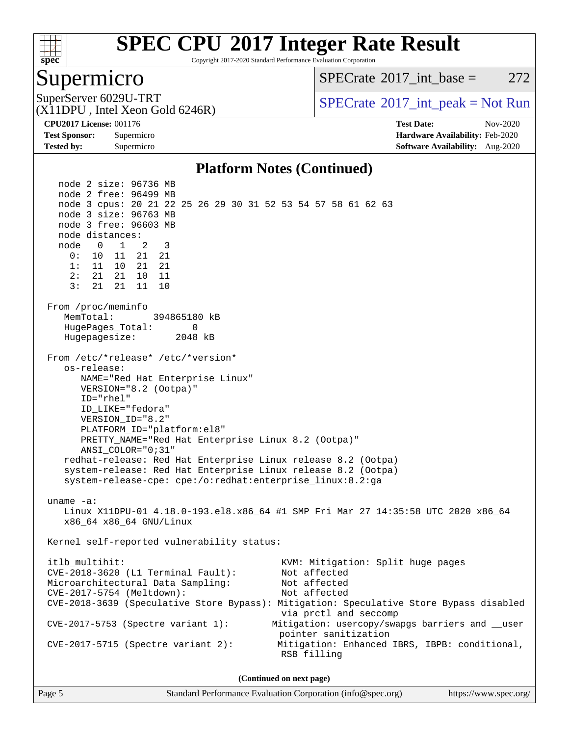

Copyright 2017-2020 Standard Performance Evaluation Corporation

### Supermicro

 $SPECTate^{\circ}2017$  int base = 272

(X11DPU , Intel Xeon Gold 6246R)

SuperServer 6029U-TRT  $SPECrate^{\circ}2017$  $SPECrate^{\circ}2017$ \_int\_peak = Not Run

**[Tested by:](http://www.spec.org/auto/cpu2017/Docs/result-fields.html#Testedby)** Supermicro **[Software Availability:](http://www.spec.org/auto/cpu2017/Docs/result-fields.html#SoftwareAvailability)** Aug-2020

**[CPU2017 License:](http://www.spec.org/auto/cpu2017/Docs/result-fields.html#CPU2017License)** 001176 **[Test Date:](http://www.spec.org/auto/cpu2017/Docs/result-fields.html#TestDate)** Nov-2020 **[Test Sponsor:](http://www.spec.org/auto/cpu2017/Docs/result-fields.html#TestSponsor)** Supermicro **[Hardware Availability:](http://www.spec.org/auto/cpu2017/Docs/result-fields.html#HardwareAvailability)** Feb-2020

### **[Platform Notes \(Continued\)](http://www.spec.org/auto/cpu2017/Docs/result-fields.html#PlatformNotes)**

 node 2 size: 96736 MB node 2 free: 96499 MB node 3 cpus: 20 21 22 25 26 29 30 31 52 53 54 57 58 61 62 63 node 3 size: 96763 MB node 3 free: 96603 MB node distances: node 0 1 2 3 0: 10 11 21 21 1: 11 10 21 21 2: 21 21 10 11 3: 21 21 11 10 From /proc/meminfo MemTotal: 394865180 kB HugePages\_Total: 0 Hugepagesize: 2048 kB From /etc/\*release\* /etc/\*version\* os-release: NAME="Red Hat Enterprise Linux" VERSION="8.2 (Ootpa)" ID="rhel" ID\_LIKE="fedora" VERSION\_ID="8.2" PLATFORM\_ID="platform:el8" PRETTY\_NAME="Red Hat Enterprise Linux 8.2 (Ootpa)" ANSI\_COLOR="0;31" redhat-release: Red Hat Enterprise Linux release 8.2 (Ootpa) system-release: Red Hat Enterprise Linux release 8.2 (Ootpa) system-release-cpe: cpe:/o:redhat:enterprise\_linux:8.2:ga uname -a: Linux X11DPU-01 4.18.0-193.el8.x86\_64 #1 SMP Fri Mar 27 14:35:58 UTC 2020 x86\_64 x86\_64 x86\_64 GNU/Linux Kernel self-reported vulnerability status: itlb\_multihit: KVM: Mitigation: Split huge pages<br>CVE-2018-3620 (L1 Terminal Fault): Not affected  $CVE-2018-3620$  (L1 Terminal Fault): Microarchitectural Data Sampling: Not affected CVE-2017-5754 (Meltdown): Not affected CVE-2018-3639 (Speculative Store Bypass): Mitigation: Speculative Store Bypass disabled via prctl and seccomp CVE-2017-5753 (Spectre variant 1): Mitigation: usercopy/swapgs barriers and \_\_user pointer sanitization CVE-2017-5715 (Spectre variant 2): Mitigation: Enhanced IBRS, IBPB: conditional, RSB filling **(Continued on next page)**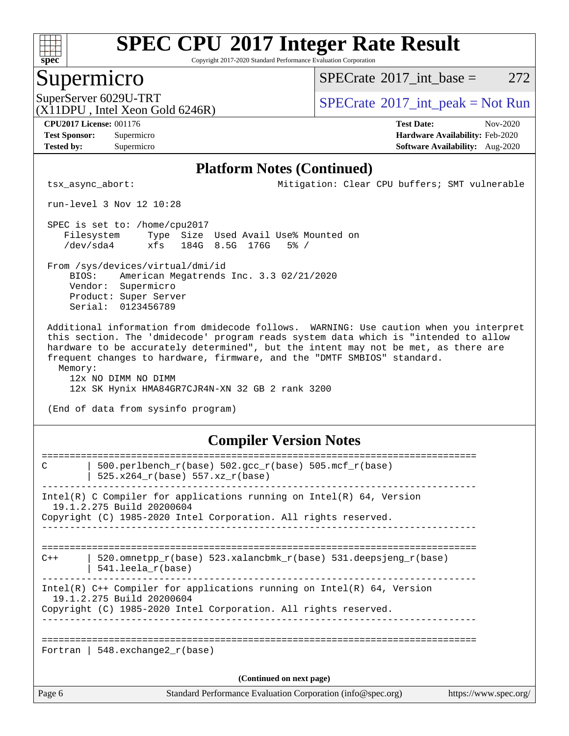

Copyright 2017-2020 Standard Performance Evaluation Corporation

### Supermicro

 $SPECTate$ <sup>®</sup>[2017\\_int\\_base =](http://www.spec.org/auto/cpu2017/Docs/result-fields.html#SPECrate2017intbase) 272

(X11DPU , Intel Xeon Gold 6246R)

SuperServer 6029U-TRT  $S^{12}$  [SPECrate](http://www.spec.org/auto/cpu2017/Docs/result-fields.html#SPECrate2017intpeak)®[2017\\_int\\_peak = N](http://www.spec.org/auto/cpu2017/Docs/result-fields.html#SPECrate2017intpeak)ot Run

**[Tested by:](http://www.spec.org/auto/cpu2017/Docs/result-fields.html#Testedby)** Supermicro **[Software Availability:](http://www.spec.org/auto/cpu2017/Docs/result-fields.html#SoftwareAvailability)** Aug-2020

**[CPU2017 License:](http://www.spec.org/auto/cpu2017/Docs/result-fields.html#CPU2017License)** 001176 **[Test Date:](http://www.spec.org/auto/cpu2017/Docs/result-fields.html#TestDate)** Nov-2020 **[Test Sponsor:](http://www.spec.org/auto/cpu2017/Docs/result-fields.html#TestSponsor)** Supermicro **[Hardware Availability:](http://www.spec.org/auto/cpu2017/Docs/result-fields.html#HardwareAvailability)** Feb-2020

### **[Platform Notes \(Continued\)](http://www.spec.org/auto/cpu2017/Docs/result-fields.html#PlatformNotes)**

tsx\_async\_abort: Mitigation: Clear CPU buffers; SMT vulnerable

run-level 3 Nov 12 10:28

 SPEC is set to: /home/cpu2017 Filesystem Type Size Used Avail Use% Mounted on /dev/sda4 xfs 184G 8.5G 176G 5% /

 From /sys/devices/virtual/dmi/id BIOS: American Megatrends Inc. 3.3 02/21/2020 Vendor: Supermicro Product: Super Server Serial: 0123456789

 Additional information from dmidecode follows. WARNING: Use caution when you interpret this section. The 'dmidecode' program reads system data which is "intended to allow hardware to be accurately determined", but the intent may not be met, as there are frequent changes to hardware, firmware, and the "DMTF SMBIOS" standard. Memory:

 12x NO DIMM NO DIMM 12x SK Hynix HMA84GR7CJR4N-XN 32 GB 2 rank 3200

(End of data from sysinfo program)

### **[Compiler Version Notes](http://www.spec.org/auto/cpu2017/Docs/result-fields.html#CompilerVersionNotes)**

| C                        | 500.perlbench_r(base) 502.gcc_r(base) 505.mcf_r(base)                                                 |                       |  |  |  |
|--------------------------|-------------------------------------------------------------------------------------------------------|-----------------------|--|--|--|
|                          | 525.x264 r(base) 557.xz r(base)                                                                       |                       |  |  |  |
|                          | Intel(R) C Compiler for applications running on Intel(R) $64$ , Version                               |                       |  |  |  |
|                          | 19.1.2.275 Build 20200604<br>Copyright (C) 1985-2020 Intel Corporation. All rights reserved.          |                       |  |  |  |
|                          |                                                                                                       |                       |  |  |  |
| $C++$                    | 520.omnetpp $r(base)$ 523.xalancbmk $r(base)$ 531.deepsjeng $r(base)$<br>$541.$ leela $r(base)$       |                       |  |  |  |
|                          | Intel(R) $C++$ Compiler for applications running on Intel(R) 64, Version<br>19.1.2.275 Build 20200604 |                       |  |  |  |
|                          | Copyright (C) 1985-2020 Intel Corporation. All rights reserved.                                       |                       |  |  |  |
|                          |                                                                                                       |                       |  |  |  |
|                          | Fortran   548.exchange2 $r(base)$                                                                     |                       |  |  |  |
| (Continued on next page) |                                                                                                       |                       |  |  |  |
| Page 6                   | Standard Performance Evaluation Corporation (info@spec.org)                                           | https://www.spec.org/ |  |  |  |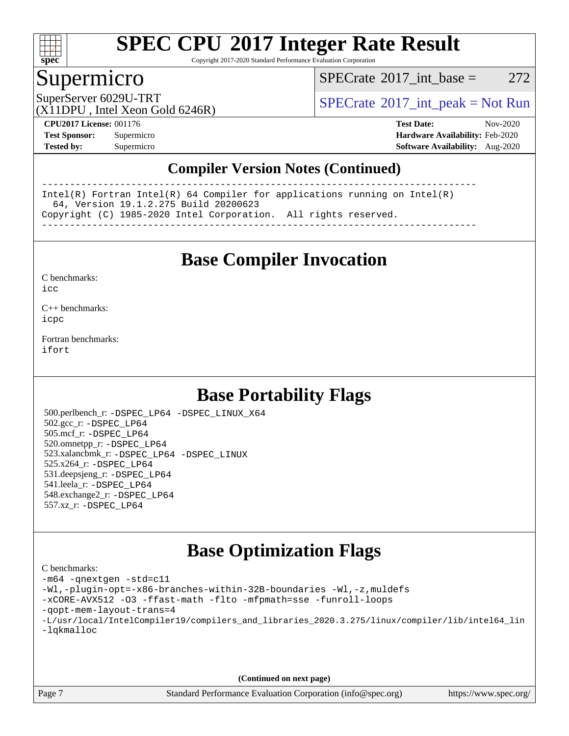

Copyright 2017-2020 Standard Performance Evaluation Corporation

### Supermicro

 $SPECTate@2017\_int\_base = 272$ 

SuperServer 6029U-TRT  $S^{12}$  [SPECrate](http://www.spec.org/auto/cpu2017/Docs/result-fields.html#SPECrate2017intpeak)®[2017\\_int\\_peak = N](http://www.spec.org/auto/cpu2017/Docs/result-fields.html#SPECrate2017intpeak)ot Run

(X11DPU , Intel Xeon Gold 6246R)

**[CPU2017 License:](http://www.spec.org/auto/cpu2017/Docs/result-fields.html#CPU2017License)** 001176 **[Test Date:](http://www.spec.org/auto/cpu2017/Docs/result-fields.html#TestDate)** Nov-2020 **[Test Sponsor:](http://www.spec.org/auto/cpu2017/Docs/result-fields.html#TestSponsor)** Supermicro **[Hardware Availability:](http://www.spec.org/auto/cpu2017/Docs/result-fields.html#HardwareAvailability)** Feb-2020 **[Tested by:](http://www.spec.org/auto/cpu2017/Docs/result-fields.html#Testedby)** Supermicro **[Software Availability:](http://www.spec.org/auto/cpu2017/Docs/result-fields.html#SoftwareAvailability)** Aug-2020

### **[Compiler Version Notes \(Continued\)](http://www.spec.org/auto/cpu2017/Docs/result-fields.html#CompilerVersionNotes)**

------------------------------------------------------------------------------ Intel(R) Fortran Intel(R) 64 Compiler for applications running on Intel(R) 64, Version 19.1.2.275 Build 20200623 Copyright (C) 1985-2020 Intel Corporation. All rights reserved. ------------------------------------------------------------------------------

**[Base Compiler Invocation](http://www.spec.org/auto/cpu2017/Docs/result-fields.html#BaseCompilerInvocation)**

[C benchmarks](http://www.spec.org/auto/cpu2017/Docs/result-fields.html#Cbenchmarks):  $i$ cc

[C++ benchmarks:](http://www.spec.org/auto/cpu2017/Docs/result-fields.html#CXXbenchmarks) [icpc](http://www.spec.org/cpu2017/results/res2020q4/cpu2017-20201207-24565.flags.html#user_CXXbase_intel_icpc_c510b6838c7f56d33e37e94d029a35b4a7bccf4766a728ee175e80a419847e808290a9b78be685c44ab727ea267ec2f070ec5dc83b407c0218cded6866a35d07)

[Fortran benchmarks](http://www.spec.org/auto/cpu2017/Docs/result-fields.html#Fortranbenchmarks): [ifort](http://www.spec.org/cpu2017/results/res2020q4/cpu2017-20201207-24565.flags.html#user_FCbase_intel_ifort_8111460550e3ca792625aed983ce982f94888b8b503583aa7ba2b8303487b4d8a21a13e7191a45c5fd58ff318f48f9492884d4413fa793fd88dd292cad7027ca)

# **[Base Portability Flags](http://www.spec.org/auto/cpu2017/Docs/result-fields.html#BasePortabilityFlags)**

 500.perlbench\_r: [-DSPEC\\_LP64](http://www.spec.org/cpu2017/results/res2020q4/cpu2017-20201207-24565.flags.html#b500.perlbench_r_basePORTABILITY_DSPEC_LP64) [-DSPEC\\_LINUX\\_X64](http://www.spec.org/cpu2017/results/res2020q4/cpu2017-20201207-24565.flags.html#b500.perlbench_r_baseCPORTABILITY_DSPEC_LINUX_X64) 502.gcc\_r: [-DSPEC\\_LP64](http://www.spec.org/cpu2017/results/res2020q4/cpu2017-20201207-24565.flags.html#suite_basePORTABILITY502_gcc_r_DSPEC_LP64) 505.mcf\_r: [-DSPEC\\_LP64](http://www.spec.org/cpu2017/results/res2020q4/cpu2017-20201207-24565.flags.html#suite_basePORTABILITY505_mcf_r_DSPEC_LP64) 520.omnetpp\_r: [-DSPEC\\_LP64](http://www.spec.org/cpu2017/results/res2020q4/cpu2017-20201207-24565.flags.html#suite_basePORTABILITY520_omnetpp_r_DSPEC_LP64) 523.xalancbmk\_r: [-DSPEC\\_LP64](http://www.spec.org/cpu2017/results/res2020q4/cpu2017-20201207-24565.flags.html#suite_basePORTABILITY523_xalancbmk_r_DSPEC_LP64) [-DSPEC\\_LINUX](http://www.spec.org/cpu2017/results/res2020q4/cpu2017-20201207-24565.flags.html#b523.xalancbmk_r_baseCXXPORTABILITY_DSPEC_LINUX) 525.x264\_r: [-DSPEC\\_LP64](http://www.spec.org/cpu2017/results/res2020q4/cpu2017-20201207-24565.flags.html#suite_basePORTABILITY525_x264_r_DSPEC_LP64) 531.deepsjeng\_r: [-DSPEC\\_LP64](http://www.spec.org/cpu2017/results/res2020q4/cpu2017-20201207-24565.flags.html#suite_basePORTABILITY531_deepsjeng_r_DSPEC_LP64) 541.leela\_r: [-DSPEC\\_LP64](http://www.spec.org/cpu2017/results/res2020q4/cpu2017-20201207-24565.flags.html#suite_basePORTABILITY541_leela_r_DSPEC_LP64) 548.exchange2\_r: [-DSPEC\\_LP64](http://www.spec.org/cpu2017/results/res2020q4/cpu2017-20201207-24565.flags.html#suite_basePORTABILITY548_exchange2_r_DSPEC_LP64) 557.xz\_r: [-DSPEC\\_LP64](http://www.spec.org/cpu2017/results/res2020q4/cpu2017-20201207-24565.flags.html#suite_basePORTABILITY557_xz_r_DSPEC_LP64)

## **[Base Optimization Flags](http://www.spec.org/auto/cpu2017/Docs/result-fields.html#BaseOptimizationFlags)**

[C benchmarks](http://www.spec.org/auto/cpu2017/Docs/result-fields.html#Cbenchmarks): [-m64](http://www.spec.org/cpu2017/results/res2020q4/cpu2017-20201207-24565.flags.html#user_CCbase_m64-icc) [-qnextgen](http://www.spec.org/cpu2017/results/res2020q4/cpu2017-20201207-24565.flags.html#user_CCbase_f-qnextgen) [-std=c11](http://www.spec.org/cpu2017/results/res2020q4/cpu2017-20201207-24565.flags.html#user_CCbase_std-icc-std_0e1c27790398a4642dfca32ffe6c27b5796f9c2d2676156f2e42c9c44eaad0c049b1cdb667a270c34d979996257aeb8fc440bfb01818dbc9357bd9d174cb8524) [-Wl,-plugin-opt=-x86-branches-within-32B-boundaries](http://www.spec.org/cpu2017/results/res2020q4/cpu2017-20201207-24565.flags.html#user_CCbase_f-x86-branches-within-32B-boundaries_0098b4e4317ae60947b7b728078a624952a08ac37a3c797dfb4ffeb399e0c61a9dd0f2f44ce917e9361fb9076ccb15e7824594512dd315205382d84209e912f3) [-Wl,-z,muldefs](http://www.spec.org/cpu2017/results/res2020q4/cpu2017-20201207-24565.flags.html#user_CCbase_link_force_multiple1_b4cbdb97b34bdee9ceefcfe54f4c8ea74255f0b02a4b23e853cdb0e18eb4525ac79b5a88067c842dd0ee6996c24547a27a4b99331201badda8798ef8a743f577) [-xCORE-AVX512](http://www.spec.org/cpu2017/results/res2020q4/cpu2017-20201207-24565.flags.html#user_CCbase_f-xCORE-AVX512) [-O3](http://www.spec.org/cpu2017/results/res2020q4/cpu2017-20201207-24565.flags.html#user_CCbase_f-O3) [-ffast-math](http://www.spec.org/cpu2017/results/res2020q4/cpu2017-20201207-24565.flags.html#user_CCbase_f-ffast-math) [-flto](http://www.spec.org/cpu2017/results/res2020q4/cpu2017-20201207-24565.flags.html#user_CCbase_f-flto) [-mfpmath=sse](http://www.spec.org/cpu2017/results/res2020q4/cpu2017-20201207-24565.flags.html#user_CCbase_f-mfpmath_70eb8fac26bde974f8ab713bc9086c5621c0b8d2f6c86f38af0bd7062540daf19db5f3a066d8c6684be05d84c9b6322eb3b5be6619d967835195b93d6c02afa1) [-funroll-loops](http://www.spec.org/cpu2017/results/res2020q4/cpu2017-20201207-24565.flags.html#user_CCbase_f-funroll-loops) [-qopt-mem-layout-trans=4](http://www.spec.org/cpu2017/results/res2020q4/cpu2017-20201207-24565.flags.html#user_CCbase_f-qopt-mem-layout-trans_fa39e755916c150a61361b7846f310bcdf6f04e385ef281cadf3647acec3f0ae266d1a1d22d972a7087a248fd4e6ca390a3634700869573d231a252c784941a8) [-L/usr/local/IntelCompiler19/compilers\\_and\\_libraries\\_2020.3.275/linux/compiler/lib/intel64\\_lin](http://www.spec.org/cpu2017/results/res2020q4/cpu2017-20201207-24565.flags.html#user_CCbase_linkpath_6eb3b1b8be403820338b5b82e7a1c217a861a8962ac718a6253be1483b50620487664a39a847caf560d84a6b8bab7cca33d9f414525a12ede1e9473db34a3d08) [-lqkmalloc](http://www.spec.org/cpu2017/results/res2020q4/cpu2017-20201207-24565.flags.html#user_CCbase_qkmalloc_link_lib_79a818439969f771c6bc311cfd333c00fc099dad35c030f5aab9dda831713d2015205805422f83de8875488a2991c0a156aaa600e1f9138f8fc37004abc96dc5)

**(Continued on next page)**

Page 7 Standard Performance Evaluation Corporation [\(info@spec.org\)](mailto:info@spec.org) <https://www.spec.org/>